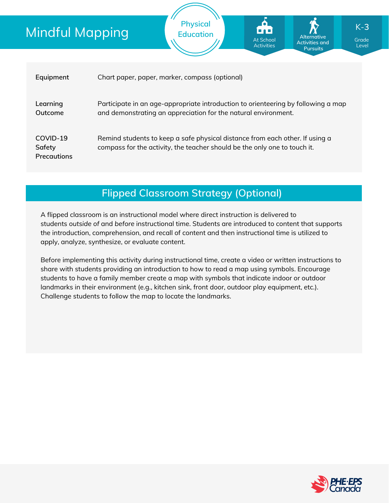# Mindful Mapping

| Equipment                         | Chart paper, paper, marker, compass (optional)                                                                                                            |
|-----------------------------------|-----------------------------------------------------------------------------------------------------------------------------------------------------------|
| Learning<br>Outcome               | Participate in an age-appropriate introduction to orienteering by following a map<br>and demonstrating an appreciation for the natural environment.       |
| COVID-19<br>Safety<br>Precautions | Remind students to keep a safe physical distance from each other. If using a<br>compass for the activity, the teacher should be the only one to touch it. |

**Physical Education**

### **Flipped Classroom Strategy (Optional)**

A flipped classroom is an instructional model where direct instruction is delivered to students *outside of* and *before* instructional time. Students are introduced to content that supports the introduction, comprehension, and recall of content and then instructional time is utilized to apply, analyze, synthesize, or evaluate content.

Before implementing this activity during instructional time, create a video or written instructions to share with students providing an introduction to how to read a map using symbols. Encourage students to have a family member create a map with symbols that indicate indoor or outdoor landmarks in their environment (e.g., kitchen sink, front door, outdoor play equipment, etc.). Challenge students to follow the map to locate the landmarks.



Grade Level

**Alternative Activities and Pursuits**

At School Activities

K-**3**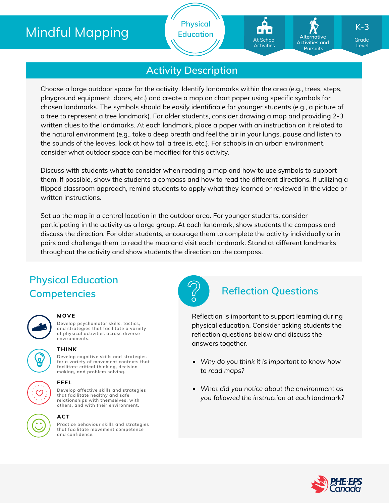# Mindful Mapping

**Physical Education**

# At School Activities

**Alternative Activities and Pursuits**

Grade K-**3**

Level

### **Activity Description**

Choose a large outdoor space for the activity. Identify landmarks within the area (e.g., trees, steps, playground equipment, doors, etc.) and create a map on chart paper using specific symbols for chosen landmarks. The symbols should be easily identifiable for younger students (e.g., a picture of a tree to represent a tree landmark). For older students, consider drawing a map and providing 2-3 written clues to the landmarks. At each landmark, place a paper with an instruction on it related to the natural environment (e.g., take a deep breath and feel the air in your lungs, pause and listen to the sounds of the leaves, look at how tall a tree is, etc.). For schools in an urban environment, consider what outdoor space can be modified for this activity.

Discuss with students what to consider when reading a map and how to use symbols to support them. If possible, show the students a compass and how to read the different directions. If utilizing a flipped classroom approach, remind students to apply what they learned or reviewed in the video or written instructions.

Set up the map in a central location in the outdoor area. For younger students, consider participating in the activity as a large group. At each landmark, show students the compass and discuss the direction. For older students, encourage them to complete the activity individually or in pairs and challenge them to read the map and visit each landmark. Stand at different landmarks throughout the activity and show students the direction on the compass.

## **Physical Education Competencies Reflection Questions**



#### **MOVE**

**Develop psychomotor skills, tactics, and strategies that facilitate a variety of physical activities across diverse environments.**





### **THINK**

**Develop cognitive skills and strategies for a variety of movement contexts that facilitate critical thinking, decision making, and problem solving.**



### **ACT**

**Practice behaviour skills and strategies that facilitate movement competence and confidence.**



Reflection is important to support learning during physical education. Consider asking students the reflection questions below and discuss the answers together.

- *Why do you think it is important to know how to read maps?*
- *What did you notice about the environment as you followed the instruction at each landmark?*